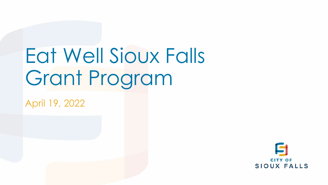## Eat Well Sioux Falls Grant Program

April 19, 2022

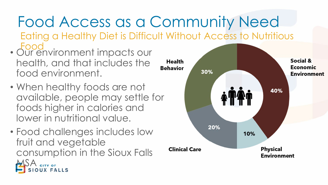## Food Access as a Community Need

- Eating a Healthy Diet is Difficult Without Access to Nutritious Food
- Our environment impacts our health, and that includes the food environment.
- When healthy foods are not available, people may settle for foods higher in calories and lower in nutritional value.
- Food challenges includes low fruit and vegetable consumption in the Sioux Falls **MSA** SITY OF

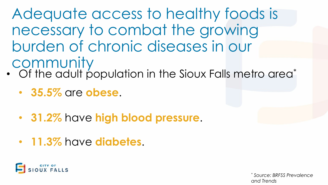Adequate access to healthy foods is necessary to combat the growing burden of chronic diseases in our **community** 

- Of the adult population in the Sioux Falls metro area\*
	- **35.5%** are **obese**.
	- **31.2%** have **high blood pressure**.
	- **11.3%** have **diabetes**.



*\* Source: BRFSS Prevalence and Trends*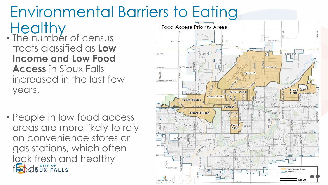# Environmental Barriers to Eating

- **Healthy** • The number of census tracts classified as **Low Income and Low Food Access** in Sioux Falls increased in the last few years.
- People in low food access areas are more likely to rely on convenience stores or gas stations, which often lack fresh and healthy **foods** UX FALLS

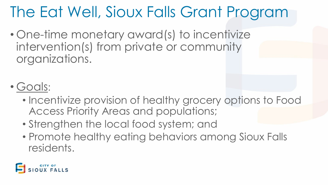### The Eat Well, Sioux Falls Grant Program

- One-time monetary award(s) to incentivize intervention(s) from private or community organizations.
- Goals:
	- Incentivize provision of healthy grocery options to Food Access Priority Areas and populations;
	- Strengthen the local food system; and
	- Promote healthy eating behaviors among Sioux Falls residents.

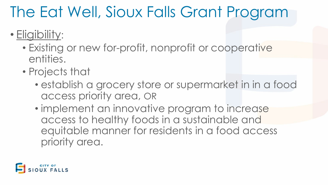#### The Eat Well, Sioux Falls Grant Program

#### • Eligibility:

- Existing or new for-profit, nonprofit or cooperative entities.
- Projects that
	- establish a grocery store or supermarket in in a food access priority area, OR
	- implement an innovative program to increase access to healthy foods in a sustainable and equitable manner for residents in a food access priority area.

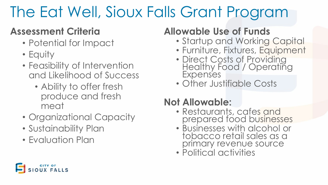### The Eat Well, Sioux Falls Grant Program

#### **Assessment Criteria**

- Potential for Impact
- Equity
- Feasibility of Intervention and Likelihood of Success
	- Ability to offer fresh produce and fresh meat
- Organizational Capacity
- Sustainability Plan
- Evaluation Plan

#### **Allowable Use of Funds**

- Startup and Working Capital
- Furniture, Fixtures, Equipment
- Direct Costs of Providing Healthy Food / Operating **Expenses**
- Other Justifiable Costs

#### **Not Allowable:**

- Restaurants, cafes and prepared food businesses
- Businesses with alcohol or tobacco retail sales as a primary revenue source
- Political activities